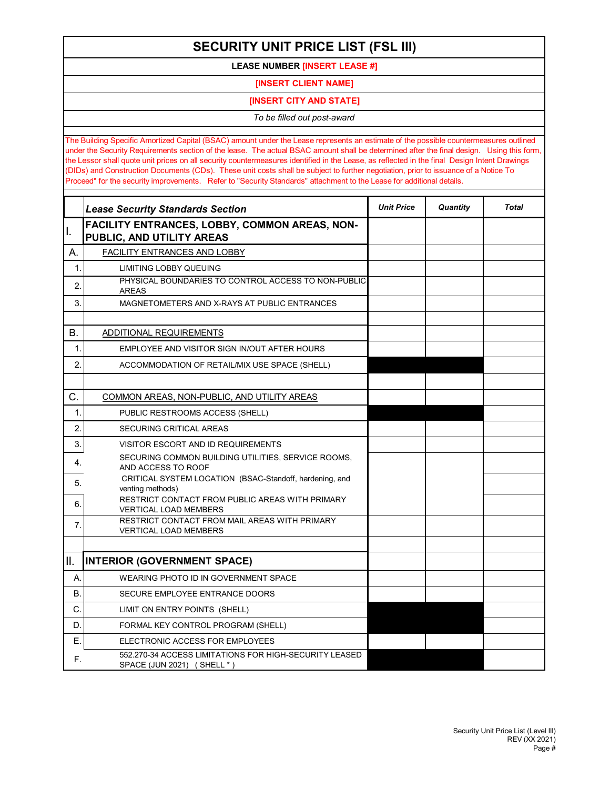## **SECURITY UNIT PRICE LIST (FSL III)**

**LEASE NUMBER [INSERT LEASE #]**

**[INSERT CLIENT NAME]**

**[INSERT CITY AND STATE]**

*To be filled out post-award*

The Building Specific Amortized Capital (BSAC) amount under the Lease represents an estimate of the possible countermeasures outlined under the Security Requirements section of the lease. The actual BSAC amount shall be determined after the final design. Using this form, the Lessor shall quote unit prices on all security countermeasures identified in the Lease, as reflected in the final Design Intent Drawings (DIDs) and Construction Documents (CDs). These unit costs shall be subject to further negotiation, prior to issuance of a Notice To Proceed" for the security improvements. Refer to "Security Standards" attachment to the Lease for additional details.

|             | <b>Lease Security Standards Section</b>                                              | <b>Unit Price</b> | Quantity | <b>Total</b> |
|-------------|--------------------------------------------------------------------------------------|-------------------|----------|--------------|
| I.          | FACILITY ENTRANCES, LOBBY, COMMON AREAS, NON-<br>PUBLIC, AND UTILITY AREAS           |                   |          |              |
| А.          | FACILITY ENTRANCES AND LOBBY                                                         |                   |          |              |
| 1.          | <b>LIMITING LOBBY QUEUING</b>                                                        |                   |          |              |
| 2.          | PHYSICAL BOUNDARIES TO CONTROL ACCESS TO NON-PUBLIC<br><b>AREAS</b>                  |                   |          |              |
| 3.          | MAGNETOMETERS AND X-RAYS AT PUBLIC ENTRANCES                                         |                   |          |              |
| В.          | ADDITIONAL REQUIREMENTS                                                              |                   |          |              |
| $\mathbf 1$ | EMPLOYEE AND VISITOR SIGN IN/OUT AFTER HOURS                                         |                   |          |              |
| 2.          | ACCOMMODATION OF RETAIL/MIX USE SPACE (SHELL)                                        |                   |          |              |
|             |                                                                                      |                   |          |              |
| C.          | COMMON AREAS, NON-PUBLIC, AND UTILITY AREAS                                          |                   |          |              |
| 1.          | PUBLIC RESTROOMS ACCESS (SHELL)                                                      |                   |          |              |
| 2.          | SECURING-CRITICAL AREAS                                                              |                   |          |              |
| 3.          | VISITOR ESCORT AND ID REQUIREMENTS                                                   |                   |          |              |
| 4.          | SECURING COMMON BUILDING UTILITIES, SERVICE ROOMS,<br>AND ACCESS TO ROOF             |                   |          |              |
| 5.          | CRITICAL SYSTEM LOCATION (BSAC-Standoff, hardening, and<br>venting methods)          |                   |          |              |
| 6.          | RESTRICT CONTACT FROM PUBLIC AREAS WITH PRIMARY<br><b>VERTICAL LOAD MEMBERS</b>      |                   |          |              |
| 7.          | RESTRICT CONTACT FROM MAIL AREAS WITH PRIMARY<br><b>VERTICAL LOAD MEMBERS</b>        |                   |          |              |
|             |                                                                                      |                   |          |              |
| II.         | <b>INTERIOR (GOVERNMENT SPACE)</b>                                                   |                   |          |              |
| А.          | <b>WEARING PHOTO ID IN GOVERNMENT SPACE</b>                                          |                   |          |              |
| Β.          | SECURE EMPLOYEE ENTRANCE DOORS                                                       |                   |          |              |
| C.          | LIMIT ON ENTRY POINTS (SHELL)                                                        |                   |          |              |
| D.          | FORMAL KEY CONTROL PROGRAM (SHELL)                                                   |                   |          |              |
| Е.          | ELECTRONIC ACCESS FOR EMPLOYEES                                                      |                   |          |              |
| F.          | 552.270-34 ACCESS LIMITATIONS FOR HIGH-SECURITY LEASED<br>SPACE (JUN 2021) (SHELL *) |                   |          |              |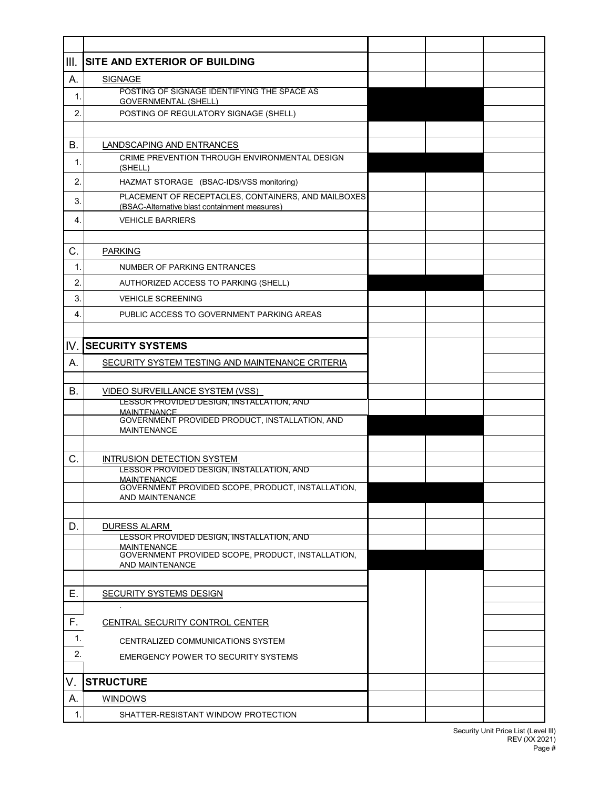| III.             | <b>SITE AND EXTERIOR OF BUILDING</b>                                         |  |  |
|------------------|------------------------------------------------------------------------------|--|--|
| А.               | <b>SIGNAGE</b>                                                               |  |  |
| $\mathbf{1}$ .   | POSTING OF SIGNAGE IDENTIFYING THE SPACE AS<br><b>GOVERNMENTAL (SHELL)</b>   |  |  |
| 2.               | POSTING OF REGULATORY SIGNAGE (SHELL)                                        |  |  |
|                  |                                                                              |  |  |
| В.               | LANDSCAPING AND ENTRANCES                                                    |  |  |
| 1.               | CRIME PREVENTION THROUGH ENVIRONMENTAL DESIGN                                |  |  |
| 2.               | (SHELL)<br>HAZMAT STORAGE (BSAC-IDS/VSS monitoring)                          |  |  |
|                  | PLACEMENT OF RECEPTACLES, CONTAINERS, AND MAILBOXES                          |  |  |
| 3.               | (BSAC-Alternative blast containment measures)                                |  |  |
| 4.               | <b>VEHICLE BARRIERS</b>                                                      |  |  |
|                  |                                                                              |  |  |
| C.               | <b>PARKING</b>                                                               |  |  |
| $\mathbf{1}$     | <b>NUMBER OF PARKING ENTRANCES</b>                                           |  |  |
| 2.               | AUTHORIZED ACCESS TO PARKING (SHELL)                                         |  |  |
| 3.               | <b>VEHICLE SCREENING</b>                                                     |  |  |
| $\overline{4}$ . | PUBLIC ACCESS TO GOVERNMENT PARKING AREAS                                    |  |  |
|                  |                                                                              |  |  |
| IV.              | <b>SECURITY SYSTEMS</b>                                                      |  |  |
| А.               | SECURITY SYSTEM TESTING AND MAINTENANCE CRITERIA                             |  |  |
|                  |                                                                              |  |  |
| В.               | VIDEO SURVEILLANCE SYSTEM (VSS)<br>LESSOR PROVIDED DESIGN, INSTALLATION, AND |  |  |
|                  | <b>MAINTFNANCE</b><br>GOVERNMENT PROVIDED PRODUCT, INSTALLATION, AND         |  |  |
|                  | <b>MAINTENANCE</b>                                                           |  |  |
|                  |                                                                              |  |  |
| C.               | INTRUSION DETECTION SYSTEM                                                   |  |  |
|                  | LESSOR PROVIDED DESIGN, INSTALLATION, AND<br><b>MAINTFNANCF</b>              |  |  |
|                  | GOVERNMENT PROVIDED SCOPE, PRODUCT, INSTALLATION,<br>AND MAINTENANCE         |  |  |
|                  |                                                                              |  |  |
| D.               | <b>DURESS ALARM</b>                                                          |  |  |
|                  | LESSOR PROVIDED DESIGN, INSTALLATION, AND<br><b>MAINTENANCE</b>              |  |  |
|                  | GOVERNMENT PROVIDED SCOPE, PRODUCT, INSTALLATION,                            |  |  |
|                  | AND MAINTENANCE                                                              |  |  |
| Е.               | SECURITY SYSTEMS DESIGN                                                      |  |  |
|                  |                                                                              |  |  |
| F.               | CENTRAL SECURITY CONTROL CENTER                                              |  |  |
| $\mathbf{1}$ .   | CENTRALIZED COMMUNICATIONS SYSTEM                                            |  |  |
| 2.               | EMERGENCY POWER TO SECURITY SYSTEMS                                          |  |  |
|                  |                                                                              |  |  |
| V.               | <b>STRUCTURE</b>                                                             |  |  |
| А.               | WINDOWS                                                                      |  |  |
| $\mathbf 1$ .    | SHATTER-RESISTANT WINDOW PROTECTION                                          |  |  |